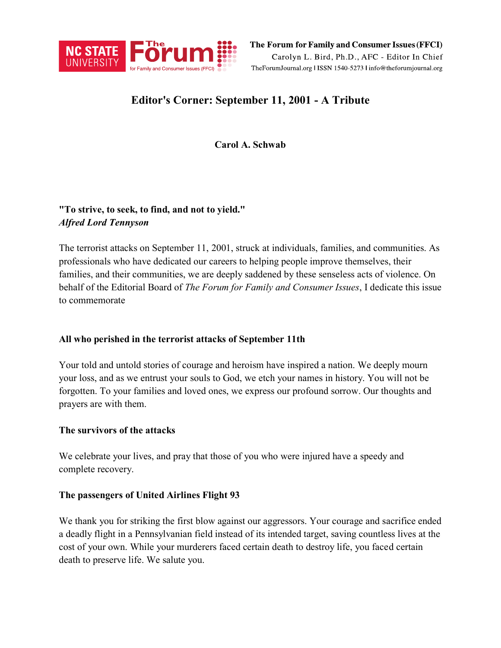

The Forum for Family and Consumer Issues (FFCI) Carolyn L. Bird, Ph.D., AFC - Editor In Chief TheForumJournal.org | ISSN 1540-5273 | info@theforumjournal.org

# **Editor's Corner: September 11, 2001 - A Tribute**

**Carol A. Schwab**

# **"To strive, to seek, to find, and not to yield."** *Alfred Lord Tennyson*

The terrorist attacks on September 11, 2001, struck at individuals, families, and communities. As professionals who have dedicated our careers to helping people improve themselves, their families, and their communities, we are deeply saddened by these senseless acts of violence. On behalf of the Editorial Board of *The Forum for Family and Consumer Issues*, I dedicate this issue to commemorate

## **All who perished in the terrorist attacks of September 11th**

Your told and untold stories of courage and heroism have inspired a nation. We deeply mourn your loss, and as we entrust your souls to God, we etch your names in history. You will not be forgotten. To your families and loved ones, we express our profound sorrow. Our thoughts and prayers are with them.

## **The survivors of the attacks**

We celebrate your lives, and pray that those of you who were injured have a speedy and complete recovery.

## **The passengers of United Airlines Flight 93**

We thank you for striking the first blow against our aggressors. Your courage and sacrifice ended a deadly flight in a Pennsylvanian field instead of its intended target, saving countless lives at the cost of your own. While your murderers faced certain death to destroy life, you faced certain death to preserve life. We salute you.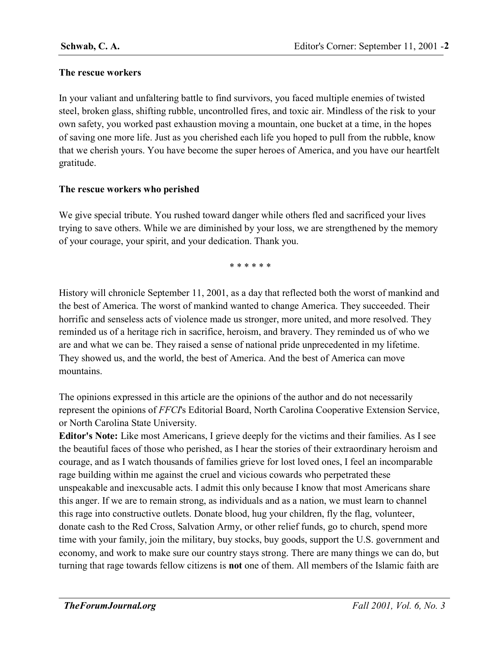#### **The rescue workers**

In your valiant and unfaltering battle to find survivors, you faced multiple enemies of twisted steel, broken glass, shifting rubble, uncontrolled fires, and toxic air. Mindless of the risk to your own safety, you worked past exhaustion moving a mountain, one bucket at a time, in the hopes of saving one more life. Just as you cherished each life you hoped to pull from the rubble, know that we cherish yours. You have become the super heroes of America, and you have our heartfelt gratitude.

#### **The rescue workers who perished**

We give special tribute. You rushed toward danger while others fled and sacrificed your lives trying to save others. While we are diminished by your loss, we are strengthened by the memory of your courage, your spirit, and your dedication. Thank you.

\* \* \* \* \* \*

History will chronicle September 11, 2001, as a day that reflected both the worst of mankind and the best of America. The worst of mankind wanted to change America. They succeeded. Their horrific and senseless acts of violence made us stronger, more united, and more resolved. They reminded us of a heritage rich in sacrifice, heroism, and bravery. They reminded us of who we are and what we can be. They raised a sense of national pride unprecedented in my lifetime. They showed us, and the world, the best of America. And the best of America can move mountains.

The opinions expressed in this article are the opinions of the author and do not necessarily represent the opinions of *FFCI*'s Editorial Board, North Carolina Cooperative Extension Service, or North Carolina State University.

**Editor's Note:** Like most Americans, I grieve deeply for the victims and their families. As I see the beautiful faces of those who perished, as I hear the stories of their extraordinary heroism and courage, and as I watch thousands of families grieve for lost loved ones, I feel an incomparable rage building within me against the cruel and vicious cowards who perpetrated these unspeakable and inexcusable acts. I admit this only because I know that most Americans share this anger. If we are to remain strong, as individuals and as a nation, we must learn to channel this rage into constructive outlets. Donate blood, hug your children, fly the flag, volunteer, donate cash to the Red Cross, Salvation Army, or other relief funds, go to church, spend more time with your family, join the military, buy stocks, buy goods, support the U.S. government and economy, and work to make sure our country stays strong. There are many things we can do, but turning that rage towards fellow citizens is **not** one of them. All members of the Islamic faith are